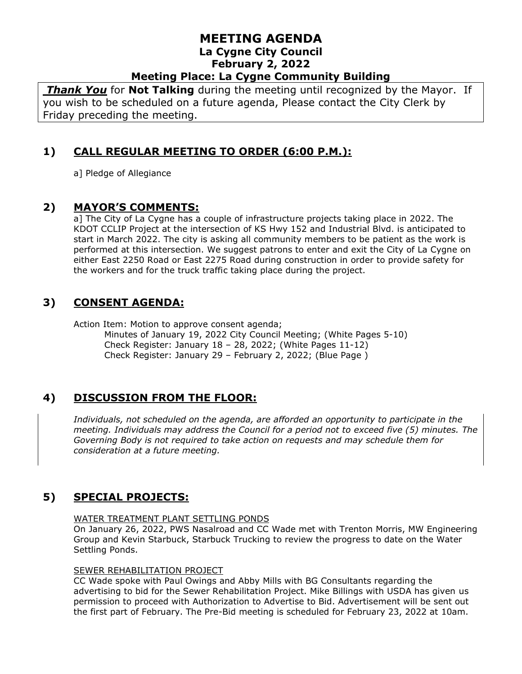# **MEETING AGENDA La Cygne City Council February 2, 2022**

# **Meeting Place: La Cygne Community Building**

*Thank You* for **Not Talking** during the meeting until recognized by the Mayor. If you wish to be scheduled on a future agenda, Please contact the City Clerk by Friday preceding the meeting.

### **1) CALL REGULAR MEETING TO ORDER (6:00 P.M.):**

a] Pledge of Allegiance

#### **2) MAYOR'S COMMENTS:**

a] The City of La Cygne has a couple of infrastructure projects taking place in 2022. The KDOT CCLIP Project at the intersection of KS Hwy 152 and Industrial Blvd. is anticipated to start in March 2022. The city is asking all community members to be patient as the work is performed at this intersection. We suggest patrons to enter and exit the City of La Cygne on either East 2250 Road or East 2275 Road during construction in order to provide safety for the workers and for the truck traffic taking place during the project.

#### **3) CONSENT AGENDA:**

Action Item: Motion to approve consent agenda;

Minutes of January 19, 2022 City Council Meeting; (White Pages 5-10) Check Register: January 18 – 28, 2022; (White Pages 11-12) Check Register: January 29 – February 2, 2022; (Blue Page )

# **4) DISCUSSION FROM THE FLOOR:**

*Individuals, not scheduled on the agenda, are afforded an opportunity to participate in the meeting. Individuals may address the Council for a period not to exceed five (5) minutes. The Governing Body is not required to take action on requests and may schedule them for consideration at a future meeting.* 

# **5) SPECIAL PROJECTS:**

#### WATER TREATMENT PLANT SETTLING PONDS

On January 26, 2022, PWS Nasalroad and CC Wade met with Trenton Morris, MW Engineering Group and Kevin Starbuck, Starbuck Trucking to review the progress to date on the Water Settling Ponds.

#### SEWER REHABILITATION PROJECT

CC Wade spoke with Paul Owings and Abby Mills with BG Consultants regarding the advertising to bid for the Sewer Rehabilitation Project. Mike Billings with USDA has given us permission to proceed with Authorization to Advertise to Bid. Advertisement will be sent out the first part of February. The Pre-Bid meeting is scheduled for February 23, 2022 at 10am.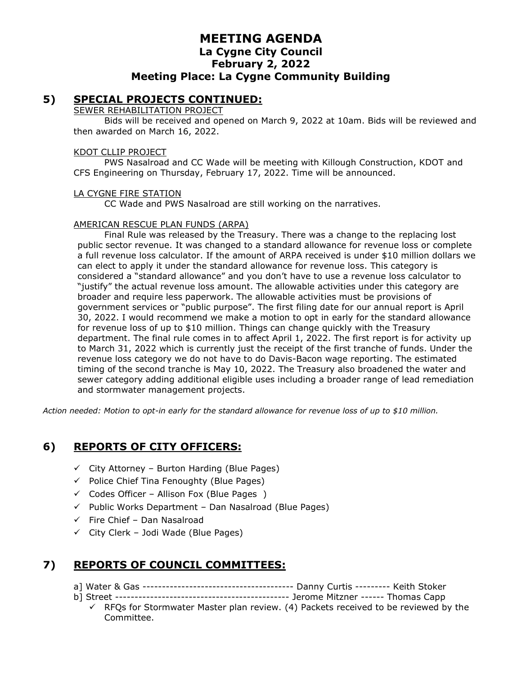### **MEETING AGENDA La Cygne City Council February 2, 2022 Meeting Place: La Cygne Community Building**

#### **5) SPECIAL PROJECTS CONTINUED:**

#### SEWER REHABILITATION PROJECT

Bids will be received and opened on March 9, 2022 at 10am. Bids will be reviewed and then awarded on March 16, 2022.

#### KDOT CLLIP PROJECT

PWS Nasalroad and CC Wade will be meeting with Killough Construction, KDOT and CFS Engineering on Thursday, February 17, 2022. Time will be announced.

#### LA CYGNE FIRE STATION

CC Wade and PWS Nasalroad are still working on the narratives.

#### AMERICAN RESCUE PLAN FUNDS (ARPA)

Final Rule was released by the Treasury. There was a change to the replacing lost public sector revenue. It was changed to a standard allowance for revenue loss or complete a full revenue loss calculator. If the amount of ARPA received is under \$10 million dollars we can elect to apply it under the standard allowance for revenue loss. This category is considered a "standard allowance" and you don't have to use a revenue loss calculator to "justify" the actual revenue loss amount. The allowable activities under this category are broader and require less paperwork. The allowable activities must be provisions of government services or "public purpose". The first filing date for our annual report is April 30, 2022. I would recommend we make a motion to opt in early for the standard allowance for revenue loss of up to \$10 million. Things can change quickly with the Treasury department. The final rule comes in to affect April 1, 2022. The first report is for activity up to March 31, 2022 which is currently just the receipt of the first tranche of funds. Under the revenue loss category we do not have to do Davis-Bacon wage reporting. The estimated timing of the second tranche is May 10, 2022. The Treasury also broadened the water and sewer category adding additional eligible uses including a broader range of lead remediation and stormwater management projects.

*Action needed: Motion to opt-in early for the standard allowance for revenue loss of up to \$10 million.*

#### **6) REPORTS OF CITY OFFICERS:**

- $\checkmark$  City Attorney Burton Harding (Blue Pages)
- $\checkmark$  Police Chief Tina Fenoughty (Blue Pages)
- $\checkmark$  Codes Officer Allison Fox (Blue Pages)
- ✓ Public Works Department Dan Nasalroad (Blue Pages)
- ✓ Fire Chief Dan Nasalroad
- $\checkmark$  City Clerk Jodi Wade (Blue Pages)

# **7) REPORTS OF COUNCIL COMMITTEES:**

- a] Water & Gas --------------------------------------- Danny Curtis --------- Keith Stoker
- b] Street --------------------------------------------- Jerome Mitzner ------ Thomas Capp
	- $\checkmark$  RFOs for Stormwater Master plan review. (4) Packets received to be reviewed by the Committee.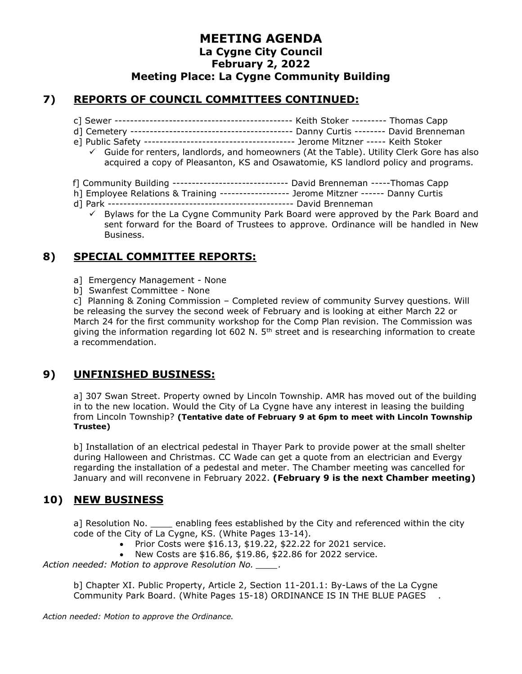### **MEETING AGENDA La Cygne City Council February 2, 2022 Meeting Place: La Cygne Community Building**

### **7) REPORTS OF COUNCIL COMMITTEES CONTINUED:**

- c] Sewer ---------------------------------------------- Keith Stoker --------- Thomas Capp
- d] Cemetery ------------------------------------------ Danny Curtis -------- David Brenneman
- e] Public Safety --------------------------------------- Jerome Mitzner ----- Keith Stoker
	- ✓ Guide for renters, landlords, and homeowners (At the Table). Utility Clerk Gore has also acquired a copy of Pleasanton, KS and Osawatomie, KS landlord policy and programs.
- f] Community Building ------------------------------ David Brenneman -----Thomas Capp
- h] Employee Relations & Training ------------------ Jerome Mitzner ------ Danny Curtis
- d] Park ------------------------------------------------ David Brenneman
	- Bylaws for the La Cygne Community Park Board were approved by the Park Board and sent forward for the Board of Trustees to approve. Ordinance will be handled in New Business.

# **8) SPECIAL COMMITTEE REPORTS:**

- a] Emergency Management None
- b] Swanfest Committee None

c] Planning & Zoning Commission – Completed review of community Survey questions. Will be releasing the survey the second week of February and is looking at either March 22 or March 24 for the first community workshop for the Comp Plan revision. The Commission was giving the information regarding lot 602 N. 5<sup>th</sup> street and is researching information to create a recommendation.

# **9) UNFINISHED BUSINESS:**

a] 307 Swan Street. Property owned by Lincoln Township. AMR has moved out of the building in to the new location. Would the City of La Cygne have any interest in leasing the building from Lincoln Township? **(Tentative date of February 9 at 6pm to meet with Lincoln Township Trustee)**

b] Installation of an electrical pedestal in Thayer Park to provide power at the small shelter during Halloween and Christmas. CC Wade can get a quote from an electrician and Evergy regarding the installation of a pedestal and meter. The Chamber meeting was cancelled for January and will reconvene in February 2022. **(February 9 is the next Chamber meeting)**

# **10) NEW BUSINESS**

a] Resolution No. \_\_\_\_\_ enabling fees established by the City and referenced within the city code of the City of La Cygne, KS. (White Pages 13-14).

- Prior Costs were \$16.13, \$19.22, \$22.22 for 2021 service.
- New Costs are \$16.86, \$19.86, \$22.86 for 2022 service.

*Action needed: Motion to approve Resolution No. \_\_\_\_.*

b] Chapter XI. Public Property, Article 2, Section 11-201.1: By-Laws of the La Cygne Community Park Board. (White Pages 15-18) ORDINANCE IS IN THE BLUE PAGES .

*Action needed: Motion to approve the Ordinance.*